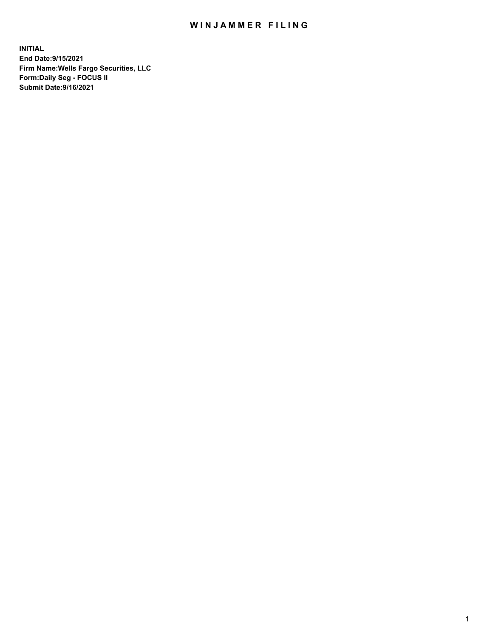## WIN JAMMER FILING

**INITIAL End Date:9/15/2021 Firm Name:Wells Fargo Securities, LLC Form:Daily Seg - FOCUS II Submit Date:9/16/2021**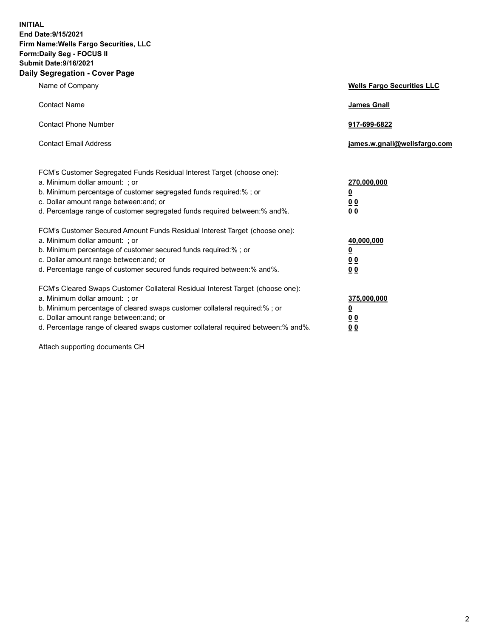**INITIAL End Date:9/15/2021 Firm Name:Wells Fargo Securities, LLC Form:Daily Seg - FOCUS II Submit Date:9/16/2021 Daily Segregation - Cover Page**

| Name of Company                                                                                                                                                                                                                                                                                                                | <b>Wells Fargo Securities LLC</b>                          |
|--------------------------------------------------------------------------------------------------------------------------------------------------------------------------------------------------------------------------------------------------------------------------------------------------------------------------------|------------------------------------------------------------|
| <b>Contact Name</b>                                                                                                                                                                                                                                                                                                            | <b>James Gnall</b>                                         |
| <b>Contact Phone Number</b>                                                                                                                                                                                                                                                                                                    | 917-699-6822                                               |
| <b>Contact Email Address</b>                                                                                                                                                                                                                                                                                                   | james.w.gnall@wellsfargo.com                               |
| FCM's Customer Segregated Funds Residual Interest Target (choose one):<br>a. Minimum dollar amount: ; or<br>b. Minimum percentage of customer segregated funds required:% ; or<br>c. Dollar amount range between: and; or<br>d. Percentage range of customer segregated funds required between:% and%.                         | 270,000,000<br><u>0</u><br><u>00</u><br>0 <sub>0</sub>     |
| FCM's Customer Secured Amount Funds Residual Interest Target (choose one):<br>a. Minimum dollar amount: ; or<br>b. Minimum percentage of customer secured funds required:% ; or<br>c. Dollar amount range between: and; or<br>d. Percentage range of customer secured funds required between: % and %.                         | 40,000,000<br><u>0</u><br>0 <sub>0</sub><br>0 <sub>0</sub> |
| FCM's Cleared Swaps Customer Collateral Residual Interest Target (choose one):<br>a. Minimum dollar amount: ; or<br>b. Minimum percentage of cleared swaps customer collateral required:% ; or<br>c. Dollar amount range between: and; or<br>d. Percentage range of cleared swaps customer collateral required between:% and%. | 375,000,000<br><u>0</u><br>0 Q<br><u>00</u>                |

Attach supporting documents CH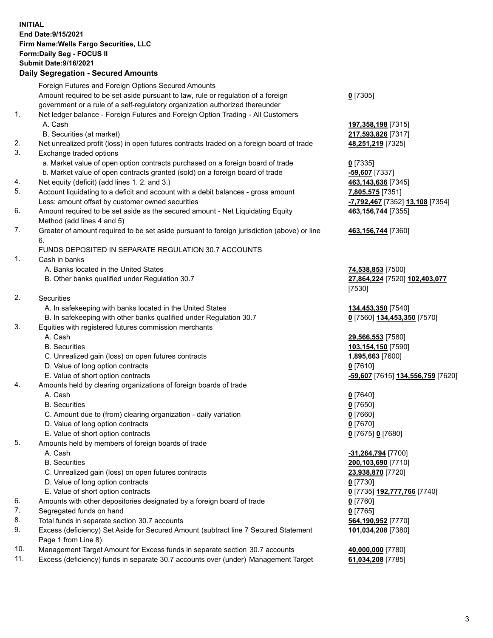**INITIAL End Date:9/15/2021 Firm Name:Wells Fargo Securities, LLC Form:Daily Seg - FOCUS II Submit Date:9/16/2021**

## **Daily Segregation - Secured Amounts**

|    | Foreign Futures and Foreign Options Secured Amounts                                                          |                                   |
|----|--------------------------------------------------------------------------------------------------------------|-----------------------------------|
|    | Amount required to be set aside pursuant to law, rule or regulation of a foreign                             | $0$ [7305]                        |
|    | government or a rule of a self-regulatory organization authorized thereunder                                 |                                   |
| 1. | Net ledger balance - Foreign Futures and Foreign Option Trading - All Customers                              |                                   |
|    | A. Cash                                                                                                      | 197,358,198 [7315]                |
|    | B. Securities (at market)                                                                                    | 217,593,826 [7317]                |
| 2. | Net unrealized profit (loss) in open futures contracts traded on a foreign board of trade                    | 48,251,219 [7325]                 |
| 3. | Exchange traded options                                                                                      |                                   |
|    |                                                                                                              |                                   |
|    | a. Market value of open option contracts purchased on a foreign board of trade                               | $0$ [7335]                        |
|    | b. Market value of open contracts granted (sold) on a foreign board of trade                                 | -59,607 [7337]                    |
| 4. | Net equity (deficit) (add lines 1. 2. and 3.)                                                                | 463,143,636 [7345]                |
| 5. | Account liquidating to a deficit and account with a debit balances - gross amount                            | 7,805,575 [7351]                  |
|    | Less: amount offset by customer owned securities                                                             | -7,792,467 [7352] 13,108 [7354]   |
| 6. | Amount required to be set aside as the secured amount - Net Liquidating Equity<br>Method (add lines 4 and 5) | 463,156,744 [7355]                |
| 7. | Greater of amount required to be set aside pursuant to foreign jurisdiction (above) or line                  | 463,156,744 [7360]                |
|    | 6.                                                                                                           |                                   |
|    | FUNDS DEPOSITED IN SEPARATE REGULATION 30.7 ACCOUNTS                                                         |                                   |
| 1. | Cash in banks                                                                                                |                                   |
|    | A. Banks located in the United States                                                                        | 74,538,853 [7500]                 |
|    | B. Other banks qualified under Regulation 30.7                                                               | 27,864,224 [7520] 102,403,077     |
|    |                                                                                                              | [7530]                            |
| 2. | Securities                                                                                                   |                                   |
|    | A. In safekeeping with banks located in the United States                                                    | 134,453,350 [7540]                |
|    | B. In safekeeping with other banks qualified under Regulation 30.7                                           | 0 [7560] 134,453,350 [7570]       |
| 3. | Equities with registered futures commission merchants                                                        |                                   |
|    | A. Cash                                                                                                      | 29,566,553 [7580]                 |
|    | <b>B.</b> Securities                                                                                         | 103,154,150 [7590]                |
|    | C. Unrealized gain (loss) on open futures contracts                                                          | 1,895,663 [7600]                  |
|    | D. Value of long option contracts                                                                            | $0$ [7610]                        |
|    | E. Value of short option contracts                                                                           | -59,607 [7615] 134,556,759 [7620] |
| 4. | Amounts held by clearing organizations of foreign boards of trade                                            |                                   |
|    | A. Cash                                                                                                      |                                   |
|    | <b>B.</b> Securities                                                                                         | $0$ [7640]                        |
|    |                                                                                                              | $0$ [7650]                        |
|    | C. Amount due to (from) clearing organization - daily variation                                              | $0$ [7660]                        |
|    | D. Value of long option contracts                                                                            | $0$ [7670]                        |
|    | E. Value of short option contracts                                                                           | 0 [7675] 0 [7680]                 |
| 5. | Amounts held by members of foreign boards of trade                                                           |                                   |
|    | A. Cash                                                                                                      | -31,264,794 [7700]                |
|    | <b>B.</b> Securities                                                                                         | 200,103,690 [7710]                |
|    | C. Unrealized gain (loss) on open futures contracts                                                          | 23,938,870 [7720]                 |
|    | D. Value of long option contracts                                                                            | $0$ [7730]                        |
|    | E. Value of short option contracts                                                                           | 0 [7735] 192,777,766 [7740]       |
| 6. | Amounts with other depositories designated by a foreign board of trade                                       | $0$ [7760]                        |
| 7. | Segregated funds on hand                                                                                     | $0$ [7765]                        |
| 8. | Total funds in separate section 30.7 accounts                                                                | 564,190,952 [7770]                |
| 9. | Excess (deficiency) Set Aside for Secured Amount (subtract line 7 Secured Statement                          | 101,034,208 [7380]                |
|    | Page 1 from Line 8)                                                                                          |                                   |
|    |                                                                                                              |                                   |

- 10. Management Target Amount for Excess funds in separate section 30.7 accounts **40,000,000** [7780]
- 11. Excess (deficiency) funds in separate 30.7 accounts over (under) Management Target **61,034,208** [7785]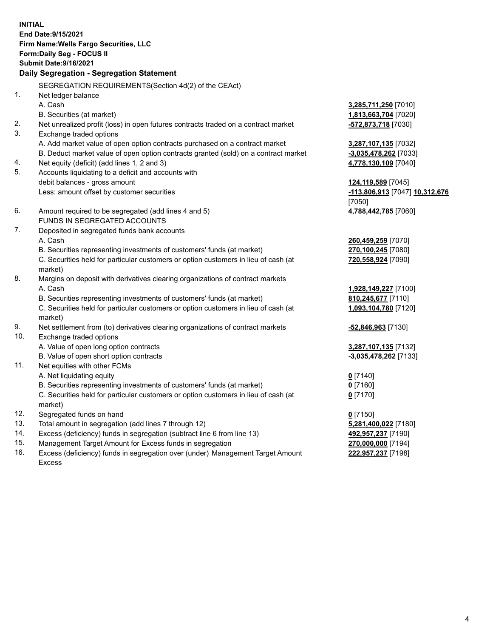**INITIAL End Date:9/15/2021 Firm Name:Wells Fargo Securities, LLC Form:Daily Seg - FOCUS II Submit Date:9/16/2021**

## **Daily Segregation - Segregation Statement**

SEGREGATION REQUIREMENTS(Section 4d(2) of the CEAct)

|     | 0LONLOATION INLQ011\LIVILIVTO(0000011 70(2) 01 010 OLA00)                           |                                |
|-----|-------------------------------------------------------------------------------------|--------------------------------|
| 1.  | Net ledger balance                                                                  |                                |
|     | A. Cash                                                                             | 3,285,711,250 [7010]           |
|     | B. Securities (at market)                                                           | 1,813,663,704 [7020]           |
| 2.  | Net unrealized profit (loss) in open futures contracts traded on a contract market  | -572,873,718 [7030]            |
| 3.  | Exchange traded options                                                             |                                |
|     | A. Add market value of open option contracts purchased on a contract market         | 3,287,107,135 [7032]           |
|     | B. Deduct market value of open option contracts granted (sold) on a contract market | $-3,035,478,262$ [7033]        |
| 4.  | Net equity (deficit) (add lines 1, 2 and 3)                                         | 4,778,130,109 [7040]           |
| 5.  | Accounts liquidating to a deficit and accounts with                                 |                                |
|     | debit balances - gross amount                                                       | 124,119,589 [7045]             |
|     | Less: amount offset by customer securities                                          | -113,806,913 [7047] 10,312,676 |
|     |                                                                                     | [7050]                         |
| 6.  | Amount required to be segregated (add lines 4 and 5)                                | 4,788,442,785 [7060]           |
|     | FUNDS IN SEGREGATED ACCOUNTS                                                        |                                |
| 7.  | Deposited in segregated funds bank accounts                                         |                                |
|     | A. Cash                                                                             | 260,459,259 [7070]             |
|     | B. Securities representing investments of customers' funds (at market)              | 270,100,245 [7080]             |
|     | C. Securities held for particular customers or option customers in lieu of cash (at | 720,558,924 [7090]             |
|     | market)                                                                             |                                |
| 8.  | Margins on deposit with derivatives clearing organizations of contract markets      |                                |
|     | A. Cash                                                                             | 1,928,149,227 [7100]           |
|     | B. Securities representing investments of customers' funds (at market)              | 810,245,677 [7110]             |
|     | C. Securities held for particular customers or option customers in lieu of cash (at | 1,093,104,780 [7120]           |
|     | market)                                                                             |                                |
| 9.  | Net settlement from (to) derivatives clearing organizations of contract markets     | $-52,846,963$ [7130]           |
| 10. | Exchange traded options                                                             |                                |
|     | A. Value of open long option contracts                                              | 3,287,107,135 [7132]           |
|     | B. Value of open short option contracts                                             | -3,035,478,262 [7133]          |
| 11. | Net equities with other FCMs                                                        |                                |
|     | A. Net liquidating equity                                                           | $0$ [7140]                     |
|     | B. Securities representing investments of customers' funds (at market)              | $0$ [7160]                     |
|     | C. Securities held for particular customers or option customers in lieu of cash (at | $0$ [7170]                     |
|     | market)                                                                             |                                |
| 12. | Segregated funds on hand                                                            | $0$ [7150]                     |
| 13. | Total amount in segregation (add lines 7 through 12)                                | 5,281,400,022 [7180]           |
| 14. | Excess (deficiency) funds in segregation (subtract line 6 from line 13)             | 492,957,237 [7190]             |
| 15. | Management Target Amount for Excess funds in segregation                            | 270,000,000 [7194]             |
| 16. | Excess (deficiency) funds in segregation over (under) Management Target Amount      | 222,957,237 [7198]             |
|     | <b>Excess</b>                                                                       |                                |